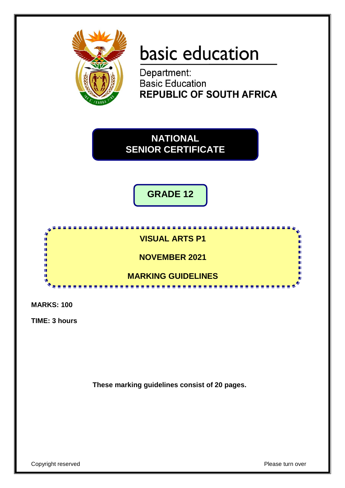

# basic education

Department: **Basic Education REPUBLIC OF SOUTH AFRICA** 

**NATIONAL SENIOR CERTIFICATE**

**GRADE 12**



**MARKS: 100**

**TIME: 3 hours**

**These marking guidelines consist of 20 pages.**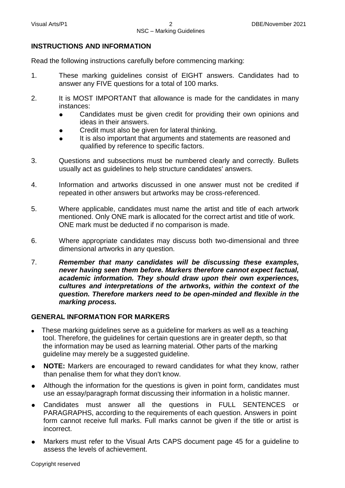#### **INSTRUCTIONS AND INFORMATION**

Read the following instructions carefully before commencing marking:

- 1. These marking guidelines consist of EIGHT answers. Candidates had to answer any FIVE questions for a total of 100 marks.
- 2. It is MOST IMPORTANT that allowance is made for the candidates in many instances:
	- Candidates must be given credit for providing their own opinions and ideas in their answers.
	- Credit must also be given for lateral thinking.
	- It is also important that arguments and statements are reasoned and qualified by reference to specific factors.
- 3. Questions and subsections must be numbered clearly and correctly. Bullets usually act as guidelines to help structure candidates' answers.
- 4. Information and artworks discussed in one answer must not be credited if repeated in other answers but artworks may be cross-referenced.
- 5. Where applicable, candidates must name the artist and title of each artwork mentioned. Only ONE mark is allocated for the correct artist and title of work. ONE mark must be deducted if no comparison is made.
- 6. Where appropriate candidates may discuss both two-dimensional and three dimensional artworks in any question.
- 7. *Remember that many candidates will be discussing these examples, never having seen them before. Markers therefore cannot expect factual, academic information. They should draw upon their own experiences, cultures and interpretations of the artworks, within the context of the question. Therefore markers need to be open-minded and flexible in the marking process.*

#### **GENERAL INFORMATION FOR MARKERS**

- These marking guidelines serve as a guideline for markers as well as a teaching tool. Therefore, the guidelines for certain questions are in greater depth, so that the information may be used as learning material. Other parts of the marking guideline may merely be a suggested guideline.
- **NOTE:** Markers are encouraged to reward candidates for what they know, rather than penalise them for what they don't know.
- Although the information for the questions is given in point form, candidates must use an essay/paragraph format discussing their information in a holistic manner.
- Candidates must answer all the questions in FULL SENTENCES or PARAGRAPHS, according to the requirements of each question. Answers in point form cannot receive full marks. Full marks cannot be given if the title or artist is incorrect.
- Markers must refer to the Visual Arts CAPS document page 45 for a guideline to assess the levels of achievement.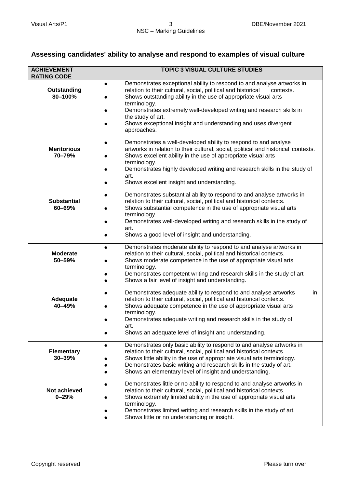# **Assessing candidates' ability to analyse and respond to examples of visual culture**

| <b>ACHIEVEMENT</b><br><b>RATING CODE</b> | <b>TOPIC 3 VISUAL CULTURE STUDIES</b>                                                                                                                                                                                                                                                                                                                                                                                             |
|------------------------------------------|-----------------------------------------------------------------------------------------------------------------------------------------------------------------------------------------------------------------------------------------------------------------------------------------------------------------------------------------------------------------------------------------------------------------------------------|
| Outstanding<br>80-100%                   | Demonstrates exceptional ability to respond to and analyse artworks in<br>$\bullet$<br>relation to their cultural, social, political and historical<br>contexts.<br>Shows outstanding ability in the use of appropriate visual arts<br>terminology.<br>Demonstrates extremely well-developed writing and research skills in<br>the study of art.<br>Shows exceptional insight and understanding and uses divergent<br>approaches. |
| <b>Meritorious</b><br>70-79%             | Demonstrates a well-developed ability to respond to and analyse<br>$\bullet$<br>artworks in relation to their cultural, social, political and historical contexts.<br>Shows excellent ability in the use of appropriate visual arts<br>terminology.<br>Demonstrates highly developed writing and research skills in the study of<br>art.<br>Shows excellent insight and understanding.                                            |
| <b>Substantial</b><br>60-69%             | Demonstrates substantial ability to respond to and analyse artworks in<br>$\bullet$<br>relation to their cultural, social, political and historical contexts.<br>Shows substantial competence in the use of appropriate visual arts<br>terminology.<br>Demonstrates well-developed writing and research skills in the study of<br>art.<br>Shows a good level of insight and understanding.                                        |
| <b>Moderate</b><br>50-59%                | Demonstrates moderate ability to respond to and analyse artworks in<br>$\bullet$<br>relation to their cultural, social, political and historical contexts.<br>Shows moderate competence in the use of appropriate visual arts<br>terminology.<br>Demonstrates competent writing and research skills in the study of art<br>Shows a fair level of insight and understanding.                                                       |
| Adequate<br>40-49%                       | Demonstrates adequate ability to respond to and analyse artworks<br>in<br>relation to their cultural, social, political and historical contexts.<br>Shows adequate competence in the use of appropriate visual arts<br>terminology.<br>Demonstrates adequate writing and research skills in the study of<br>art.<br>Shows an adequate level of insight and understanding.                                                         |
| <b>Elementary</b><br>$30 - 39%$          | Demonstrates only basic ability to respond to and analyse artworks in<br>relation to their cultural, social, political and historical contexts.<br>Shows little ability in the use of appropriate visual arts terminology.<br>Demonstrates basic writing and research skills in the study of art.<br>Shows an elementary level of insight and understanding.                                                                      |
| Not achieved<br>$0 - 29%$                | Demonstrates little or no ability to respond to and analyse artworks in<br>$\bullet$<br>relation to their cultural, social, political and historical contexts.<br>Shows extremely limited ability in the use of appropriate visual arts<br>terminology.<br>Demonstrates limited writing and research skills in the study of art.<br>Shows little or no understanding or insight.                                                  |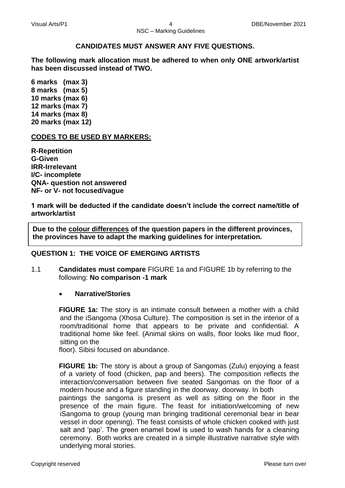#### **CANDIDATES MUST ANSWER ANY FIVE QUESTIONS.**

**The following mark allocation must be adhered to when only ONE artwork/artist has been discussed instead of TWO.**

**6 marks (max 3) 8 marks (max 5) 10 marks (max 6) 12 marks (max 7) 14 marks (max 8) 20 marks (max 12)**

#### **CODES TO BE USED BY MARKERS:**

**R-Repetition G-Given IRR-Irrelevant I/C- incomplete QNA- question not answered NF- or V- not focused/vague**

**1 mark will be deducted if the candidate doesn't include the correct name/title of artwork/artist**

**Due to the colour differences of the question papers in the different provinces, the provinces have to adapt the marking guidelines for interpretation.**

#### **QUESTION 1: THE VOICE OF EMERGING ARTISTS**

1.1 **Candidates must compare** FIGURE 1a and FIGURE 1b by referring to the following: **No comparison -1 mark**

#### **Narrative/Stories**

**FIGURE 1a:** The story is an intimate consult between a mother with a child and the iSangoma (Xhosa Culture). The composition is set in the interior of a room/traditional home that appears to be private and confidential. A traditional home like feel. (Animal skins on walls, floor looks like mud floor, sitting on the

floor). Sibisi focused on abundance.

**FIGURE 1b:** The story is about a group of Sangomas (Zulu) enjoying a feast of a variety of food (chicken, pap and beers). The composition reflects the interaction/conversation between five seated Sangomas on the floor of a modern house and a figure standing in the doorway. doorway. In both

paintings the sangoma is present as well as sitting on the floor in the presence of the main figure. The feast for initiation/welcoming of new iSangoma to group (young man bringing traditional ceremonial bear in bear vessel in door opening). The feast consists of whole chicken cooked with just salt and 'pap'. The green enamel bowl is used to wash hands for a cleaning ceremony. Both works are created in a simple illustrative narrative style with underlying moral stories.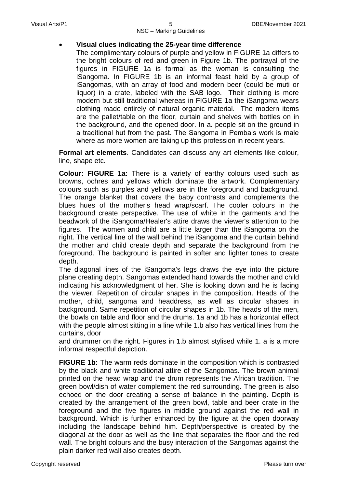#### **Visual clues indicating the 25-year time difference**

The complimentary colours of purple and yellow in FIGURE 1a differs to the bright colours of red and green in Figure 1b. The portrayal of the figures in FIGURE 1a is formal as the woman is consulting the iSangoma. In FIGURE 1b is an informal feast held by a group of iSangomas, with an array of food and modern beer (could be muti or liquor) in a crate, labeled with the SAB logo. Their clothing is more modern but still traditional whereas in FIGURE 1a the iSangoma wears clothing made entirely of natural organic material. The modern items are the pallet/table on the floor, curtain and shelves with bottles on in the background, and the opened door. In a. people sit on the ground in a traditional hut from the past. The Sangoma in Pemba's work is male where as more women are taking up this profession in recent years.

**Formal art elements**. Candidates can discuss any art elements like colour, line, shape etc.

**Colour: FIGURE 1a:** There is a variety of earthy colours used such as browns, ochres and yellows which dominate the artwork. Complementary colours such as purples and yellows are in the foreground and background. The orange blanket that covers the baby contrasts and complements the blues hues of the mother's head wrap/scarf. The cooler colours in the background create perspective. The use of white in the garments and the beadwork of the iSangoma/Healer's attire draws the viewer's attention to the figures. The women and child are a little larger than the iSangoma on the right. The vertical line of the wall behind the iSangoma and the curtain behind the mother and child create depth and separate the background from the foreground. The background is painted in softer and lighter tones to create depth.

The diagonal lines of the iSangoma's legs draws the eye into the picture plane creating depth. Sangomas extended hand towards the mother and child indicating his acknowledgment of her. She is looking down and he is facing the viewer. Repetition of circular shapes in the composition. Heads of the mother, child, sangoma and headdress, as well as circular shapes in background. Same repetition of circular shapes in 1b. The heads of the men, the bowls on table and floor and the drums. 1a and 1b has a horizontal effect with the people almost sitting in a line while 1.b also has vertical lines from the curtains, door

and drummer on the right. Figures in 1.b almost stylised while 1. a is a more informal respectful depiction.

**FIGURE 1b:** The warm reds dominate in the composition which is contrasted by the black and white traditional attire of the Sangomas. The brown animal printed on the head wrap and the drum represents the African tradition. The green bowl/dish of water complement the red surrounding. The green is also echoed on the door creating a sense of balance in the painting. Depth is created by the arrangement of the green bowl, table and beer crate in the foreground and the five figures in middle ground against the red wall in background. Which is further enhanced by the figure at the open doorway including the landscape behind him. Depth/perspective is created by the diagonal at the door as well as the line that separates the floor and the red wall. The bright colours and the busy interaction of the Sangomas against the plain darker red wall also creates depth.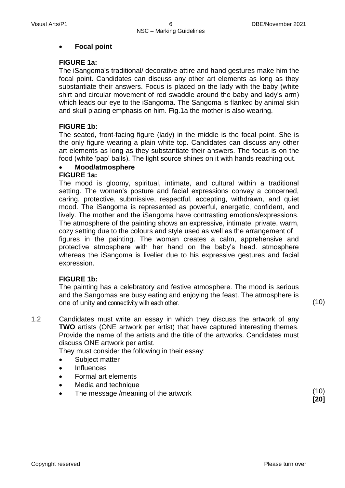#### **Focal point**

#### **FIGURE 1a:**

The iSangoma's traditional/ decorative attire and hand gestures make him the focal point. Candidates can discuss any other art elements as long as they substantiate their answers. Focus is placed on the lady with the baby (white shirt and circular movement of red swaddle around the baby and lady's arm) which leads our eye to the iSangoma. The Sangoma is flanked by animal skin and skull placing emphasis on him. Fig.1a the mother is also wearing.

#### **FIGURE 1b:**

The seated, front-facing figure (lady) in the middle is the focal point. She is the only figure wearing a plain white top. Candidates can discuss any other art elements as long as they substantiate their answers. The focus is on the food (white 'pap' balls). The light source shines on it with hands reaching out.

# **Mood/atmosphere**

# **FIGURE 1a:**

The mood is gloomy, spiritual, intimate, and cultural within a traditional setting. The woman's posture and facial expressions convey a concerned, caring, protective, submissive, respectful, accepting, withdrawn, and quiet mood. The iSangoma is represented as powerful, energetic, confident, and lively. The mother and the iSangoma have contrasting emotions/expressions. The atmosphere of the painting shows an expressive, intimate, private, warm, cozy setting due to the colours and style used as well as the arrangement of figures in the painting. The woman creates a calm, apprehensive and protective atmosphere with her hand on the baby's head. atmosphere whereas the iSangoma is livelier due to his expressive gestures and facial expression.

#### **FIGURE 1b:**

The painting has a celebratory and festive atmosphere. The mood is serious and the Sangomas are busy eating and enjoying the feast. The atmosphere is one of unity and connectivity with each other. (10)

1.2 Candidates must write an essay in which they discuss the artwork of any **TWO** artists (ONE artwork per artist) that have captured interesting themes. Provide the name of the artists and the title of the artworks. Candidates must

discuss ONE artwork per artist. They must consider the following in their essay:

- 
- Subject matter
- Influences
- Formal art elements
- Media and technique
- The message /meaning of the artwork (10)

**[20]**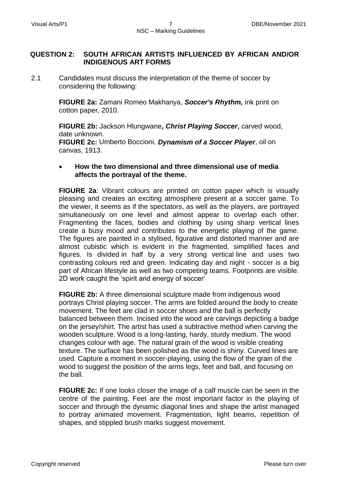#### **QUESTION 2: SOUTH AFRICAN ARTISTS INFLUENCED BY AFRICAN AND/OR INDIGENOUS ART FORMS**

2.1 Candidates must discuss the interpretation of the theme of soccer by considering the following:

> **FIGURE 2a:** Zamani Romeo Makhanya, *Soccer's Rhythm,* ink print on cotton paper, 2010.

**FIGURE 2b:** Jackson Hlungwane**,** *Christ Playing Soccer***,** carved wood, date unknown.

**FIGURE 2c:** Umberto Boccioni, *Dynamism of a Soccer Player*, oil on canvas, 1913.

#### **How the two dimensional and three dimensional use of media affects the portrayal of the theme.**

**FIGURE 2a**: Vibrant colours are printed on cotton paper which is visually pleasing and creates an exciting atmosphere present at a soccer game. To the viewer, it seems as if the spectators, as well as the players, are portrayed simultaneously on one level and almost appear to overlap each other. Fragmenting the faces, bodies and clothing by using sharp vertical lines create a busy mood and contributes to the energetic playing of the game. The figures are painted in a stylised, figurative and distorted manner and are almost cubistic which is evident in the fragmented, simplified faces and figures. Is divided in half by a very strong vertical line and uses two contrasting colours red and green. Indicating day and night - soccer is a big part of African lifestyle as well as two competing teams. Footprints are visible. 2D work caught the 'spirit and energy of soccer'

**FIGURE 2b:** A three dimensional sculpture made from indigenous wood portrays Christ playing soccer. The arms are folded around the body to create movement. The feet are clad in soccer shoes and the ball is perfectly balanced between them. Incised into the wood are carvings depicting a badge on the jersey/shirt. The artist has used a subtractive method when carving the wooden sculpture. Wood is a long-lasting, hardy, sturdy medium. The wood changes colour with age. The natural grain of the wood is visible creating texture. The surface has been polished as the wood is shiny. Curved lines are used. Capture a moment in soccer-playing, using the flow of the grain of the wood to suggest the position of the arms legs, feet and ball, and focusing on the ball.

**FIGURE 2c:** If one looks closer the image of a calf muscle can be seen in the centre of the painting. Feet are the most important factor in the playing of soccer and through the dynamic diagonal lines and shape the artist managed to portray animated movement. Fragmentation, light beams, repetition of shapes, and stippled brush marks suggest movement.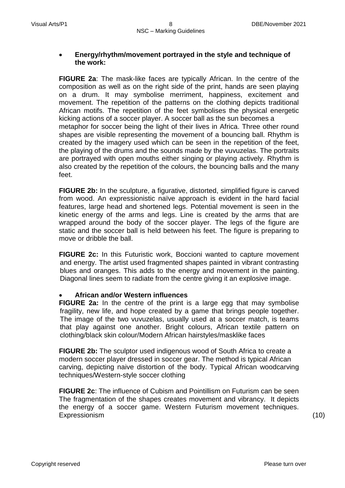#### **Energy/rhythm/movement portrayed in the style and technique of the work:**

**FIGURE 2a**: The mask-like faces are typically African. In the centre of the composition as well as on the right side of the print, hands are seen playing on a drum. It may symbolise merriment, happiness, excitement and movement. The repetition of the patterns on the clothing depicts traditional African motifs. The repetition of the feet symbolises the physical energetic kicking actions of a soccer player. A soccer ball as the sun becomes a metaphor for soccer being the light of their lives in Africa. Three other round shapes are visible representing the movement of a bouncing ball. Rhythm is created by the imagery used which can be seen in the repetition of the feet, the playing of the drums and the sounds made by the vuvuzelas. The portraits are portrayed with open mouths either singing or playing actively. Rhythm is also created by the repetition of the colours, the bouncing balls and the many feet.

**FIGURE 2b:** In the sculpture, a figurative, distorted, simplified figure is carved from wood. An expressionistic naïve approach is evident in the hard facial features, large head and shortened legs. Potential movement is seen in the kinetic energy of the arms and legs. Line is created by the arms that are wrapped around the body of the soccer player. The legs of the figure are static and the soccer ball is held between his feet. The figure is preparing to move or dribble the ball.

**FIGURE 2c:** In this Futuristic work, Boccioni wanted to capture movement and energy. The artist used fragmented shapes painted in vibrant contrasting blues and oranges. This adds to the energy and movement in the painting. Diagonal lines seem to radiate from the centre giving it an explosive image.

#### **African and/or Western influences**

**FIGURE 2a:** In the centre of the print is a large egg that may symbolise fragility, new life, and hope created by a game that brings people together. The image of the two vuvuzelas, usually used at a soccer match, is teams that play against one another. Bright colours, African textile pattern on clothing/black skin colour/Modern African hairstyles/masklike faces

**FIGURE 2b:** The sculptor used indigenous wood of South Africa to create a modern soccer player dressed in soccer gear. The method is typical African carving, depicting naive distortion of the body. Typical African woodcarving techniques/Western-style soccer clothing

**FIGURE 2c**: The influence of Cubism and Pointillism on Futurism can be seen The fragmentation of the shapes creates movement and vibrancy. It depicts the energy of a soccer game. Western Futurism movement techniques. Expressionism (10)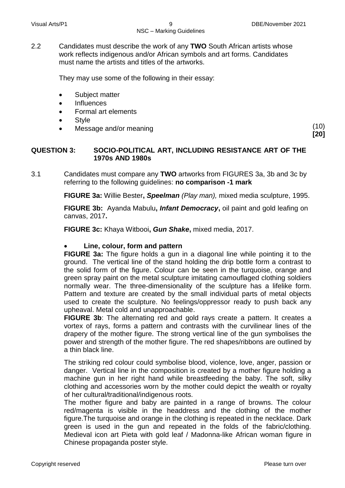2.2 Candidates must describe the work of any **TWO** South African artists whose work reflects indigenous and/or African symbols and art forms. Candidates must name the artists and titles of the artworks.

They may use some of the following in their essay:

- Subject matter
- Influences
- Formal art elements
- Style
- Message and/or meaning (10) (10)

**[20]**

#### **QUESTION 3: SOCIO-POLITICAL ART, INCLUDING RESISTANCE ART OF THE 1970s AND 1980s**

3.1 Candidates must compare any **TWO** artworks from FIGURES 3a, 3b and 3c by referring to the following guidelines: **no comparison -1 mark**

**FIGURE 3a:** Willie Bester**,** *Speelman (Play man),* mixed media sculpture, 1995.

**FIGURE 3b:** Ayanda Mabulu**,** *Infant Democracy***,** oil paint and gold leafing on canvas, 2017**.**

**FIGURE 3c:** Khaya Witbooi**,** *Gun Shake***,** mixed media, 2017.

#### **Line, colour, form and pattern**

**FIGURE 3a:** The figure holds a gun in a diagonal line while pointing it to the ground.The vertical line of the stand holding the drip bottle form a contrast to the solid form of the figure. Colour can be seen in the turquoise, orange and green spray paint on the metal sculpture imitating camouflaged clothing soldiers normally wear. The three-dimensionality of the sculpture has a lifelike form. Pattern and texture are created by the small individual parts of metal objects used to create the sculpture. No feelings/oppressor ready to push back any upheaval. Metal cold and unapproachable.

**FIGURE 3b**: The alternating red and gold rays create a pattern. It creates a vortex of rays, forms a pattern and contrasts with the curvilinear lines of the drapery of the mother figure. The strong vertical line of the gun symbolises the power and strength of the mother figure. The red shapes/ribbons are outlined by a thin black line.

The striking red colour could symbolise blood, violence, love, anger, passion or danger. Vertical line in the composition is created by a mother figure holding a machine gun in her right hand while breastfeeding the baby. The soft, silky clothing and accessories worn by the mother could depict the wealth or royalty of her cultural/traditional/indigenous roots.

The mother figure and baby are painted in a range of browns. The colour red/magenta is visible in the headdress and the clothing of the mother figure.The turquoise and orange in the clothing is repeated in the necklace. Dark green is used in the gun and repeated in the folds of the fabric/clothing. Medieval icon art Pieta with gold leaf / Madonna-like African woman figure in Chinese propaganda poster style.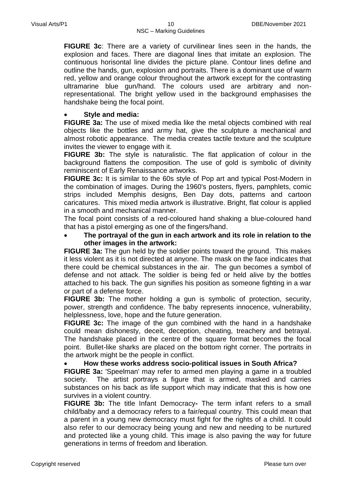**FIGURE 3c**: There are a variety of curvilinear lines seen in the hands, the explosion and faces. There are diagonal lines that imitate an explosion. The continuous horisontal line divides the picture plane. Contour lines define and outline the hands, gun, explosion and portraits. There is a dominant use of warm red, yellow and orange colour throughout the artwork except for the contrasting ultramarine blue gun/hand. The colours used are arbitrary and nonrepresentational. The bright yellow used in the background emphasises the handshake being the focal point.

#### **Style and media:**

**FIGURE 3a:** The use of mixed media like the metal objects combined with real objects like the bottles and army hat, give the sculpture a mechanical and almost robotic appearance. The media creates tactile texture and the sculpture invites the viewer to engage with it.

**FIGURE 3b:** The style is naturalistic. The flat application of colour in the background flattens the composition. The use of gold is symbolic of divinity reminiscent of Early Renaissance artworks.

**FIGURE 3c:** It is similar to the 60s style of Pop art and typical Post-Modern in the combination of images. During the 1960's posters, flyers, pamphlets, comic strips included Memphis designs, Ben Day dots, patterns and cartoon caricatures. This mixed media artwork is illustrative. Bright, flat colour is applied in a smooth and mechanical manner.

The focal point consists of a red-coloured hand shaking a blue-coloured hand that has a pistol emerging as one of the fingers/hand.

 **The portrayal of the gun in each artwork and its role in relation to the other images in the artwork:**

**FIGURE 3a:** The gun held by the soldier points toward the ground. This makes it less violent as it is not directed at anyone. The mask on the face indicates that there could be chemical substances in the air. The gun becomes a symbol of defense and not attack. The soldier is being fed or held alive by the bottles attached to his back. The gun signifies his position as someone fighting in a war or part of a defense force.

**FIGURE 3b:** The mother holding a gun is symbolic of protection, security, power, strength and confidence. The baby represents innocence, vulnerability, helplessness, love, hope and the future generation.

**FIGURE 3c:** The image of the gun combined with the hand in a handshake could mean dishonesty, deceit, deception, cheating, treachery and betrayal. The handshake placed in the centre of the square format becomes the focal point. Bullet-like sharks are placed on the bottom right corner. The portraits in the artwork might be the people in conflict.

#### **How these works address socio-political issues in South Africa?**

**FIGURE 3a:** 'Speelman' may refer to armed men playing a game in a troubled society. The artist portrays a figure that is armed, masked and carries substances on his back as life support which may indicate that this is how one survives in a violent country.

**FIGURE 3b:** The title Infant Democracy*-* The term infant refers to a small child/baby and a democracy refers to a fair/equal country*.* This could mean that a parent in a young new democracy must fight for the rights of a child. It could also refer to our democracy being young and new and needing to be nurtured and protected like a young child. This image is also paving the way for future generations in terms of freedom and liberation.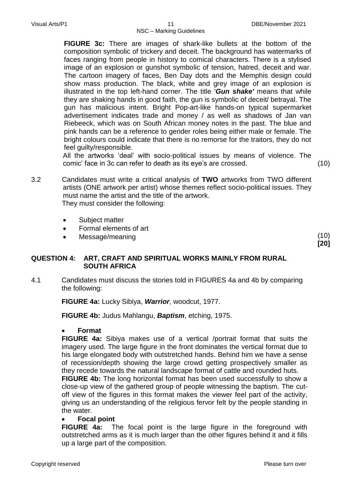**FIGURE 3c:** There are images of shark-like bullets at the bottom of the composition symbolic of trickery and deceit. The background has watermarks of faces ranging from people in history to comical characters. There is a stylised image of an explosion or gunshot symbolic of tension, hatred, deceit and war. The cartoon imagery of faces, Ben Day dots and the Memphis design could show mass production. The black, white and grey image of an explosion is illustrated in the top left-hand corner. The title '*Gun shake'* means that while they are shaking hands in good faith, the gun is symbolic of deceit/ betrayal. The gun has malicious intent. Bright Pop-art-like hands-on typical supermarket advertisement indicates trade and money / as well as shadows of Jan van Riebeeck, which was on South African money notes in the past. The blue and pink hands can be a reference to gender roles being either male or female. The bright colours could indicate that there is no remorse for the traitors, they do not feel guilty/responsible.

All the artworks 'deal' with socio-political issues by means of violence. The comic' face in 3c can refer to death as its eye's are crossed. (10)

- 3.2 Candidates must write a critical analysis of **TWO** artworks from TWO different artists (ONE artwork per artist) whose themes reflect socio-political issues. They must name the artist and the title of the artwork. They must consider the following:
	- Subject matter
	- Formal elements of art
	- Message/meaning

(10) **[20]**

# **QUESTION 4: ART, CRAFT AND SPIRITUAL WORKS MAINLY FROM RURAL SOUTH AFRICA**

4.1 Candidates must discuss the stories told in FIGURES 4a and 4b by comparing the following:

**FIGURE 4a:** Lucky Sibiya, *Warrior*, woodcut, 1977.

**FIGURE 4b:** Judus Mahlangu, *Baptism*, etching, 1975.

#### **Format**

**FIGURE 4a:** Sibiya makes use of a vertical /portrait format that suits the imagery used. The large figure in the front dominates the vertical format due to his large elongated body with outstretched hands. Behind him we have a sense of recession/depth showing the large crowd getting prospectively smaller as they recede towards the natural landscape format of cattle and rounded huts.

**FIGURE 4b:** The long horizontal format has been used successfully to show a close-up view of the gathered group of people witnessing the baptism. The cutoff view of the figures in this format makes the viewer feel part of the activity, giving us an understanding of the religious fervor felt by the people standing in the water.

### **Focal point**

**FIGURE 4a:** The focal point is the large figure in the foreground with outstretched arms as it is much larger than the other figures behind it and it fills up a large part of the composition.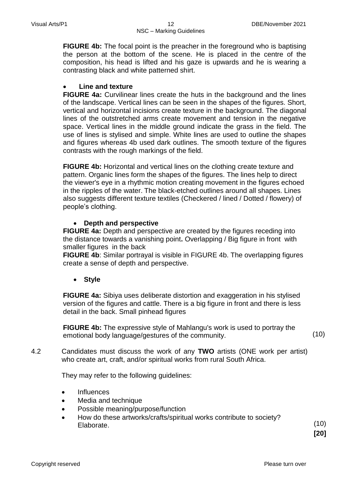**FIGURE 4b:** The focal point is the preacher in the foreground who is baptising the person at the bottom of the scene. He is placed in the centre of the composition, his head is lifted and his gaze is upwards and he is wearing a contrasting black and white patterned shirt.

#### **Line and texture**

**FIGURE 4a:** Curvilinear lines create the huts in the background and the lines of the landscape. Vertical lines can be seen in the shapes of the figures. Short, vertical and horizontal incisions create texture in the background. The diagonal lines of the outstretched arms create movement and tension in the negative space. Vertical lines in the middle ground indicate the grass in the field. The use of lines is stylised and simple. White lines are used to outline the shapes and figures whereas 4b used dark outlines. The smooth texture of the figures contrasts with the rough markings of the field.

**FIGURE 4b:** Horizontal and vertical lines on the clothing create texture and pattern. Organic lines form the shapes of the figures. The lines help to direct the viewer's eye in a rhythmic motion creating movement in the figures echoed in the ripples of the water. The black-etched outlines around all shapes. Lines also suggests different texture textiles (Checkered / lined / Dotted / flowery) of people's clothing.

#### **Depth and perspective**

**FIGURE 4a:** Depth and perspective are created by the figures receding into the distance towards a vanishing point**.** Overlapping / Big figure in front with smaller figures in the back

**FIGURE 4b**: Similar portrayal is visible in FIGURE 4b. The overlapping figures create a sense of depth and perspective.

#### **Style**

**FIGURE 4a:** Sibiya uses deliberate distortion and exaggeration in his stylised version of the figures and cattle. There is a big figure in front and there is less detail in the back. Small pinhead figures

**FIGURE 4b:** The expressive style of Mahlangu's work is used to portray the emotional body language/gestures of the community. (10)

4.2 Candidates must discuss the work of any **TWO** artists (ONE work per artist) who create art, craft, and/or spiritual works from rural South Africa.

They may refer to the following guidelines:

- Influences
- Media and technique
- Possible meaning/purpose/function
- How do these artworks/crafts/spiritual works contribute to society? Elaborate.

(10) **[20]**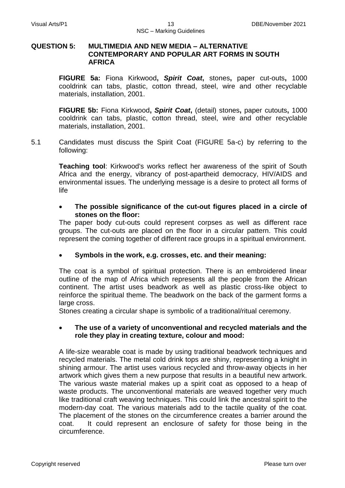#### **QUESTION 5: MULTIMEDIA AND NEW MEDIA – ALTERNATIVE CONTEMPORARY AND POPULAR ART FORMS IN SOUTH AFRICA**

**FIGURE 5a:** Fiona Kirkwood**,** *Spirit Coat***,** stones**,** paper cut-outs**,** 1000 cooldrink can tabs, plastic, cotton thread, steel, wire and other recyclable materials, installation, 2001.

**FIGURE 5b:** Fiona Kirkwood**,** *Spirit Coat***,** (detail) stones**,** paper cutouts**,** 1000 cooldrink can tabs, plastic, cotton thread, steel, wire and other recyclable materials, installation, 2001.

5.1 Candidates must discuss the Spirit Coat (FIGURE 5a-c) by referring to the following:

> **Teaching tool**: Kirkwood's works reflect her awareness of the spirit of South Africa and the energy, vibrancy of post-apartheid democracy, HIV/AIDS and environmental issues. The underlying message is a desire to protect all forms of life

#### **The possible significance of the cut-out figures placed in a circle of stones on the floor:**

The paper body cut-outs could represent corpses as well as different race groups. The cut-outs are placed on the floor in a circular pattern. This could represent the coming together of different race groups in a spiritual environment.

#### **Symbols in the work, e.g. crosses, etc. and their meaning:**

The coat is a symbol of spiritual protection. There is an embroidered linear outline of the map of Africa which represents all the people from the African continent. The artist uses beadwork as well as plastic cross-like object to reinforce the spiritual theme. The beadwork on the back of the garment forms a large cross.

Stones creating a circular shape is symbolic of a traditional/ritual ceremony.

#### **The use of a variety of unconventional and recycled materials and the role they play in creating texture, colour and mood:**

A life-size wearable coat is made by using traditional beadwork techniques and recycled materials. The metal cold drink tops are shiny, representing a knight in shining armour. The artist uses various recycled and throw-away objects in her artwork which gives them a new purpose that results in a beautiful new artwork. The various waste material makes up a spirit coat as opposed to a heap of waste products. The unconventional materials are weaved together very much like traditional craft weaving techniques. This could link the ancestral spirit to the modern-day coat. The various materials add to the tactile quality of the coat. The placement of the stones on the circumference creates a barrier around the coat. It could represent an enclosure of safety for those being in the circumference.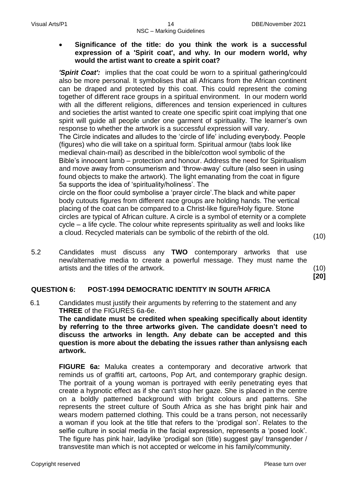**Significance of the title: do you think the work is a successful expression of a 'Spirit coat', and why. In our modern world, why would the artist want to create a spirit coat?**

*'Spirit Coat':* implies that the coat could be worn to a spiritual gathering/could also be more personal. It symbolises that all Africans from the African continent can be draped and protected by this coat. This could represent the coming together of different race groups in a spiritual environment. In our modern world with all the different religions, differences and tension experienced in cultures and societies the artist wanted to create one specific spirit coat implying that one spirit will guide all people under one garment of spirituality. The learner's own response to whether the artwork is a successful expression will vary.

The Circle indicates and alludes to the 'circle of life' including everybody. People (figures) who die will take on a spiritual form. Spiritual armour (tabs look like medieval chain-mail) as described in the bible/cotton wool symbolic of the Bible's innocent lamb – protection and honour. Address the need for Spiritualism and move away from consumerism and 'throw-away' culture (also seen in using found objects to make the artwork). The light emanating from the coat in figure 5a supports the idea of 'spirituality/holiness'. The

circle on the floor could symbolise a 'prayer circle'.The black and white paper body cutouts figures from different race groups are holding hands. The vertical placing of the coat can be compared to a Christ-like figure/Holy figure. Stone circles are typical of African culture. A circle is a symbol of eternity or a complete cycle – a life cycle. The colour white represents spirituality as well and looks like a cloud. Recycled materials can be symbolic of the rebirth of the old. (10)

5.2 Candidates must discuss any **TWO** contemporary artworks that use new/alternative media to create a powerful message. They must name the artists and the titles of the artwork. (10)

**[20]**

#### **QUESTION 6: POST-1994 DEMOCRATIC IDENTITY IN SOUTH AFRICA**

6.1 Candidates must justify their arguments by referring to the statement and any **THREE** of the FIGURES 6a-6e.

> **The candidate must be credited when speaking specifically about identity by referring to the three artworks given. The candidate doesn't need to discuss the artworks in length. Any debate can be accepted and this question is more about the debating the issues rather than anlysisng each artwork.**

> **FIGURE 6a:** Maluka creates a contemporary and decorative artwork that reminds us of graffiti art, cartoons, Pop Art, and contemporary graphic design. The portrait of a young woman is portrayed with eerily penetrating eyes that create a hypnotic effect as if she can't stop her gaze. She is placed in the centre on a boldly patterned background with bright colours and patterns. She represents the street culture of South Africa as she has bright pink hair and wears modern patterned clothing. This could be a trans person, not necessarily a woman if you look at the title that refers to the 'prodigal son'. Relates to the selfie culture in social media in the facial expression, represents a 'posed look'. The figure has pink hair, ladylike 'prodigal son (title) suggest gay/ transgender / transvestite man which is not accepted or welcome in his family/community.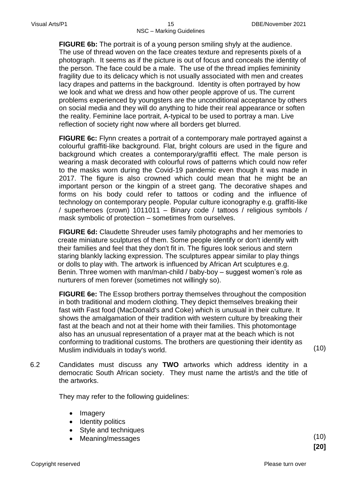**FIGURE 6b:** The portrait is of a young person smiling shyly at the audience. The use of thread woven on the face creates texture and represents pixels of a photograph. It seems as if the picture is out of focus and conceals the identity of the person. The face could be a male. The use of the thread implies femininity fragility due to its delicacy which is not usually associated with men and creates lacy drapes and patterns in the background. Identity is often portrayed by how we look and what we dress and how other people approve of us. The current problems experienced by youngsters are the unconditional acceptance by others on social media and they will do anything to hide their real appearance or soften the reality. Feminine lace portrait, A-typical to be used to portray a man. Live reflection of society right now where all borders get blurred.

**FIGURE 6c:** Flynn creates a portrait of a contemporary male portrayed against a colourful graffiti-like background. Flat, bright colours are used in the figure and background which creates a contemporary/graffiti effect. The male person is wearing a mask decorated with colourful rows of patterns which could now refer to the masks worn during the Covid-19 pandemic even though it was made in 2017. The figure is also crowned which could mean that he might be an important person or the kingpin of a street gang. The decorative shapes and forms on his body could refer to tattoos or coding and the influence of technology on contemporary people. Popular culture iconography e.g. graffiti-like / superheroes (crown) 1011011 – Binary code / tattoos / religious symbols / mask symbolic of protection – sometimes from ourselves.

**FIGURE 6d:** Claudette Shreuder uses family photographs and her memories to create miniature sculptures of them. Some people identify or don't identify with their families and feel that they don't fit in. The figures look serious and stern staring blankly lacking expression. The sculptures appear similar to play things or dolls to play with. The artwork is influenced by African Art sculptures e.g. Benin. Three women with man/man-child / baby-boy – suggest women's role as nurturers of men forever (sometimes not willingly so).

**FIGURE 6e:** The Essop brothers portray themselves throughout the composition in both traditional and modern clothing. They depict themselves breaking their fast with Fast food (MacDonald's and Coke) which is unusual in their culture. It shows the amalgamation of their tradition with western culture by breaking their fast at the beach and not at their home with their families. This photomontage also has an unusual representation of a prayer mat at the beach which is not conforming to traditional customs. The brothers are questioning their identity as Muslim individuals in today's world. (10)

6.2 Candidates must discuss any **TWO** artworks which address identity in a democratic South African society. They must name the artist/s and the title of the artworks.

They may refer to the following guidelines:

- Imagery
- Identity politics
- Style and techniques
- Meaning/messages (10)

**[20]**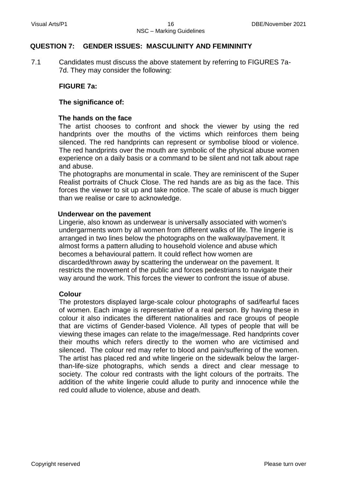#### **QUESTION 7: GENDER ISSUES: MASCULINITY AND FEMININITY**

7.1 Candidates must discuss the above statement by referring to FIGURES 7a-7d. They may consider the following:

#### **FIGURE 7a:**

#### **The significance of:**

#### **The hands on the face**

The artist chooses to confront and shock the viewer by using the red handprints over the mouths of the victims which reinforces them being silenced. The red handprints can represent or symbolise blood or violence. The red handprints over the mouth are symbolic of the physical abuse women experience on a daily basis or a command to be silent and not talk about rape and abuse.

The photographs are monumental in scale. They are reminiscent of the Super Realist portraits of Chuck Close. The red hands are as big as the face. This forces the viewer to sit up and take notice. The scale of abuse is much bigger than we realise or care to acknowledge.

#### **Underwear on the pavement**

Lingerie, also known as underwear is universally associated with women's undergarments worn by all women from different walks of life. The lingerie is arranged in two lines below the photographs on the walkway/pavement. It almost forms a pattern alluding to household violence and abuse which becomes a behavioural pattern. It could reflect how women are discarded/thrown away by scattering the underwear on the pavement. It restricts the movement of the public and forces pedestrians to navigate their way around the work. This forces the viewer to confront the issue of abuse.

#### **Colour**

The protestors displayed large-scale colour photographs of sad/fearful faces of women. Each image is representative of a real person. By having these in colour it also indicates the different nationalities and race groups of people that are victims of Gender-based Violence. All types of people that will be viewing these images can relate to the image/message. Red handprints cover their mouths which refers directly to the women who are victimised and silenced. The colour red may refer to blood and pain/suffering of the women. The artist has placed red and white lingerie on the sidewalk below the largerthan-life-size photographs, which sends a direct and clear message to society. The colour red contrasts with the light colours of the portraits. The addition of the white lingerie could allude to purity and innocence while the red could allude to violence, abuse and death.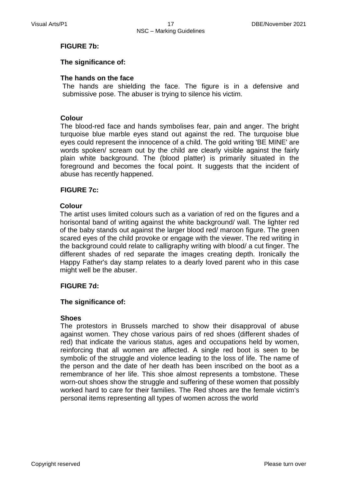#### **FIGURE 7b:**

#### **The significance of:**

#### **The hands on the face**

The hands are shielding the face. The figure is in a defensive and submissive pose. The abuser is trying to silence his victim.

#### **Colour**

The blood-red face and hands symbolises fear, pain and anger. The bright turquoise blue marble eyes stand out against the red. The turquoise blue eyes could represent the innocence of a child. The gold writing 'BE MINE' are words spoken/ scream out by the child are clearly visible against the fairly plain white background. The (blood platter) is primarily situated in the foreground and becomes the focal point. It suggests that the incident of abuse has recently happened.

#### **FIGURE 7c:**

#### **Colour**

The artist uses limited colours such as a variation of red on the figures and a horisontal band of writing against the white background/ wall. The lighter red of the baby stands out against the larger blood red/ maroon figure. The green scared eyes of the child provoke or engage with the viewer. The red writing in the background could relate to calligraphy writing with blood/ a cut finger. The different shades of red separate the images creating depth. Ironically the Happy Father's day stamp relates to a dearly loved parent who in this case might well be the abuser.

#### **FIGURE 7d:**

#### **The significance of:**

#### **Shoes**

The protestors in Brussels marched to show their disapproval of abuse against women. They chose various pairs of red shoes (different shades of red) that indicate the various status, ages and occupations held by women, reinforcing that all women are affected. A single red boot is seen to be symbolic of the struggle and violence leading to the loss of life. The name of the person and the date of her death has been inscribed on the boot as a remembrance of her life. This shoe almost represents a tombstone. These worn-out shoes show the struggle and suffering of these women that possibly worked hard to care for their families. The Red shoes are the female victim's personal items representing all types of women across the world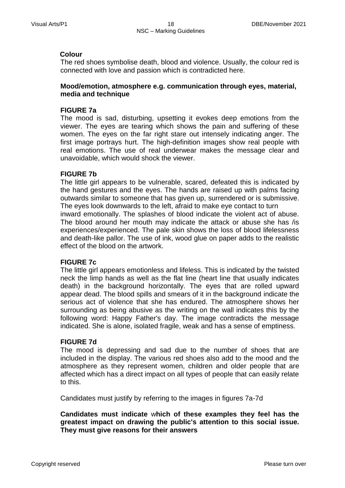#### **Colour**

The red shoes symbolise death, blood and violence. Usually, the colour red is connected with love and passion which is contradicted here.

#### **Mood/emotion, atmosphere e.g. communication through eyes, material, media and technique**

#### **FIGURE 7a**

The mood is sad, disturbing, upsetting it evokes deep emotions from the viewer. The eyes are tearing which shows the pain and suffering of these women. The eyes on the far right stare out intensely indicating anger. The first image portrays hurt. The high-definition images show real people with real emotions. The use of real underwear makes the message clear and unavoidable, which would shock the viewer.

#### **FIGURE 7b**

The little girl appears to be vulnerable, scared, defeated this is indicated by the hand gestures and the eyes. The hands are raised up with palms facing outwards similar to someone that has given up, surrendered or is submissive. The eyes look downwards to the left, afraid to make eye contact to turn inward emotionally. The splashes of blood indicate the violent act of abuse. The blood around her mouth may indicate the attack or abuse she has /is experiences/experienced. The pale skin shows the loss of blood lifelessness and death-like pallor. The use of ink, wood glue on paper adds to the realistic effect of the blood on the artwork.

#### **FIGURE 7c**

The little girl appears emotionless and lifeless. This is indicated by the twisted neck the limp hands as well as the flat line (heart line that usually indicates death) in the background horizontally. The eyes that are rolled upward appear dead. The blood spills and smears of it in the background indicate the serious act of violence that she has endured. The atmosphere shows her surrounding as being abusive as the writing on the wall indicates this by the following word: Happy Father's day. The image contradicts the message indicated. She is alone, isolated fragile, weak and has a sense of emptiness.

#### **FIGURE 7d**

The mood is depressing and sad due to the number of shoes that are included in the display. The various red shoes also add to the mood and the atmosphere as they represent women, children and older people that are affected which has a direct impact on all types of people that can easily relate to this.

Candidates must justify by referring to the images in figures 7a-7d

**Candidates must indicate** w**hich of these examples they feel has the greatest impact on drawing the public's attention to this social issue. They must give reasons for their answers**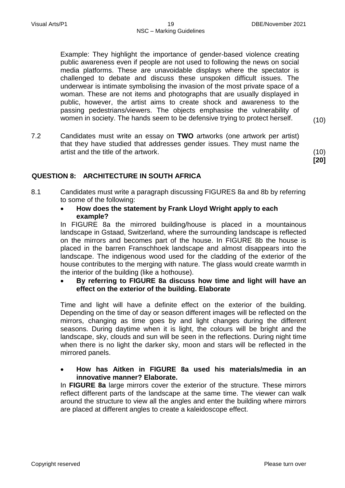Example: They highlight the importance of gender-based violence creating public awareness even if people are not used to following the news on social media platforms. These are unavoidable displays where the spectator is challenged to debate and discuss these unspoken difficult issues. The underwear is intimate symbolising the invasion of the most private space of a woman. These are not items and photographs that are usually displayed in public, however, the artist aims to create shock and awareness to the passing pedestrians/viewers. The objects emphasise the vulnerability of women in society. The hands seem to be defensive trying to protect herself. (10)

7.2 Candidates must write an essay on **TWO** artworks (one artwork per artist) that they have studied that addresses gender issues. They must name the artist and the title of the artwork. (10)

#### **QUESTION 8: ARCHITECTURE IN SOUTH AFRICA**

- 8.1 Candidates must write a paragraph discussing FIGURES 8a and 8b by referring to some of the following:
	- **How does the statement by Frank Lloyd Wright apply to each example?**

In FIGURE 8a the mirrored building/house is placed in a mountainous landscape in Gstaad, Switzerland, where the surrounding landscape is reflected on the mirrors and becomes part of the house. In FIGURE 8b the house is placed in the barren Franschhoek landscape and almost disappears into the landscape. The indigenous wood used for the cladding of the exterior of the house contributes to the merging with nature. The glass would create warmth in the interior of the building (like a hothouse).

#### **By referring to FIGURE 8a discuss how time and light will have an effect on the exterior of the building. Elaborate**

Time and light will have a definite effect on the exterior of the building. Depending on the time of day or season different images will be reflected on the mirrors, changing as time goes by and light changes during the different seasons. During daytime when it is light, the colours will be bright and the landscape, sky, clouds and sun will be seen in the reflections. During night time when there is no light the darker sky, moon and stars will be reflected in the mirrored panels.

#### **How has Aitken in FIGURE 8a used his materials/media in an innovative manner? Elaborate.**

In **FIGURE 8a** large mirrors cover the exterior of the structure. These mirrors reflect different parts of the landscape at the same time. The viewer can walk around the structure to view all the angles and enter the building where mirrors are placed at different angles to create a kaleidoscope effect.

**[20]**